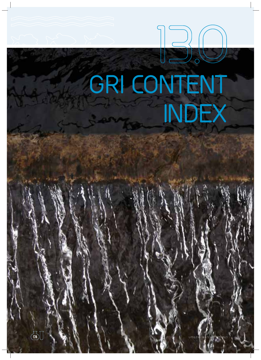# **GRI CONTENT INDEX**

**13.O**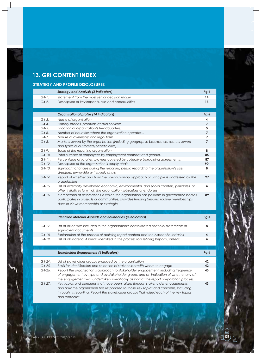# **13. GRI CONTENT INDEX**

# **STRATEGY AND PROFILE DISCLOSURES**

|         | <b>Strategy and Analysis (2 indicators)</b>         | Pa# |
|---------|-----------------------------------------------------|-----|
| $G4-1.$ | Statement from the most senior decision maker       | 14  |
| $G4-2.$ | Description of key impacts, risks and opportunities | 18  |

|          | <b>Organisational profile (14 indicators)</b>                                                                                                                                                                              | Pg# |
|----------|----------------------------------------------------------------------------------------------------------------------------------------------------------------------------------------------------------------------------|-----|
| $G4-3.$  | Name of organisation                                                                                                                                                                                                       | 4   |
| $G4-4.$  | Primary brands, products and/or services                                                                                                                                                                                   |     |
| $G4-5.$  | Location of organization's headquarters.                                                                                                                                                                                   | 5   |
| $G4-6.$  | Number of countries where the organization operates                                                                                                                                                                        |     |
| G4-7.    | Nature of ownership and legal form                                                                                                                                                                                         |     |
| $G4-8.$  | Markets served by the organisation (including geographic breakdown, sectors served<br>and types of customers/beneficiaries)                                                                                                |     |
| $G4-9.$  | Scale of the reporting organisation.                                                                                                                                                                                       | 8   |
| $G4-10.$ | Total number of employees by employment contract and gender.                                                                                                                                                               | 85  |
| $G4-11.$ | Percentage of total employees covered by collective bargaining agreements.                                                                                                                                                 | 87  |
| $G4-12.$ | Description of the organisation's supply chain                                                                                                                                                                             | 90  |
| $G4-13.$ | Significant changes during the reporting period regarding the organisation's size,<br>structure, ownership or it supply chain                                                                                              | 8   |
| $G4-14.$ | Report of whether and how the precautionary approach or principle is addressed by the<br>organisation                                                                                                                      | 27  |
| $G4-15.$ | List of externally developed economic, environmental, and social charters, principles, or<br>other initiatives to which the organization subscribes or endorses                                                            | 4   |
| $G4-16.$ | Membership of associations in which the organisation has positions in governance bodies,<br>participates in projects or communities, provides funding beyond routine memberships<br>dues or views membership as strategic. | 89  |

|          | <b>Identified Material Aspects and Boundaries (3 indicators)</b>                                                 | Pg# |
|----------|------------------------------------------------------------------------------------------------------------------|-----|
| G4-17.   | List of all entities included in the organisation's consolidated financial statements or<br>equivalent documents | 8   |
| $G4-18.$ | Explanation of the process of defining report content and the Aspect Boundaries.                                 | 4   |
| $G4-19.$ | List of all Material Aspects identified in the process for Defining Report Content.                              | Δ   |

|            | <b>Stakeholder Engagement (4 indicators)</b>                                                                                                                                                                                                                                     | Pq# |
|------------|----------------------------------------------------------------------------------------------------------------------------------------------------------------------------------------------------------------------------------------------------------------------------------|-----|
| $G4 - 24.$ | List of stakeholder groups engaged by the organisation                                                                                                                                                                                                                           | 42  |
| $G4-25.$   | Basis for identification and selection of stakeholder with whom to engage                                                                                                                                                                                                        | 42  |
| $G4-26.$   | Report the organisation's approach to stakeholder engagement, including frequency<br>of engagement by type and by stakeholder group, and an indication of whether any of<br>the engagement was undertaken specifically as part of the report preparation process.                | 43  |
| $G4-27$ .  | Key topics and concerns that have been raised through stakeholder engagements,<br>and how the organisation has responded to those key topics and concerns, including<br>through its reporting. Report the stakeholder groups that raised each of the key topics<br>and concerns. | 43  |

175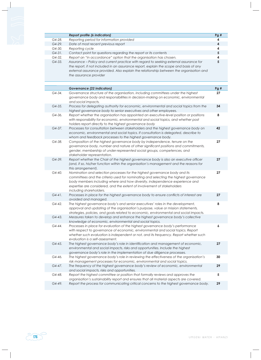|             | Report profile (6 indicators)                                                           | Pg#                     |
|-------------|-----------------------------------------------------------------------------------------|-------------------------|
| G4-28.      | Reporting period for information provided                                               | 4                       |
| G4-29.      | Date of most recent previous report                                                     | $\overline{\mathbf{4}}$ |
| G4-30.      | Reporting cycle                                                                         | 4                       |
| $G4-31.$    | Contact point for questions regarding the report or its contents                        | 5                       |
| G4-32.      | Report an "in accordance" option that the organisation has chosen.                      | 4                       |
| G4-33.      | Assurance - Policy and current practice with regard to seeking external assurance for   | 5                       |
|             | the report, if not included in an assurance report, explain the scope and basis of any  |                         |
|             | external assurance provided. Also explain the relationship between the organisation and |                         |
|             | the assurance provider                                                                  |                         |
|             |                                                                                         |                         |
|             |                                                                                         |                         |
|             | <b>Governance (22 indicators)</b>                                                       | Pg#                     |
| G4-34.      | Governance structure of the organisation, including committees under the highest        | 27                      |
|             | governance body and responsibilities in decision-making on economic, environmental      |                         |
|             | and social impacts.                                                                     |                         |
| G4-35.      | Process for delegating authority for economic, environmental and social topics from the | 34                      |
|             | highest governance body to senior executives and other employees.                       |                         |
| G4-36.      | Report whether the organisation has appointed an executive-level position or positions  | 8                       |
|             | with responsibility for economic, environmental and social topics, and whether post     |                         |
|             | holders report directly to the highest governance body                                  |                         |
| G4-37.      | Processes for consultation between stakeholders and the highest governance body on      | 42                      |
|             | economic, environmental and social topics. If consultation is delegated, describe to    |                         |
|             | whom and feedback processes to the highest governance body.                             |                         |
| G4-38.      | Composition of the highest governance body by independence, tenure on the               | 27                      |
|             | governance body, number and nature of other significant positions and commitments,      |                         |
|             | gender, membership of under-represented social groups, competences, and                 |                         |
|             | stakeholder representation.                                                             |                         |
| G4-39.      | Report whether the Chair of the highest governance body is also an executive officer    | 27                      |
|             | (and, if so, his/her function within the organisation's management and the reasons for  |                         |
|             | this arrangement).                                                                      |                         |
| G4-40.      | Nomination and selection processes for the highest governance body and its              | 27                      |
|             | committees and the criteria used for nominating and selecting the highest governance    |                         |
|             | body members including where and how diversity, independence experience and             |                         |
|             | expertise are considered, and the extent of involvement of stakeholders                 |                         |
|             | including shareholders.                                                                 |                         |
| $G4 - 41$ . | Processes in place for the highest governance body to ensure conflicts of interest are  | 27                      |
|             | avoided and managed.                                                                    |                         |
| $G4 - 42.$  | The highest governance body's and senior executives' roles in the development,          | 8                       |
|             | approval and updating of the organisation's purpose, value or mission statements,       |                         |
|             | strategies, policies, and goals related to economic, environmental and social impacts.  |                         |
| G4-43.      | Measures taken to develop and enhance the highest governance body's collective          |                         |
|             | knowledge of economic, environmental and social topics.                                 |                         |
| G4-44.      | Processes in place for evaluation of the highest governance body's performance          | 6                       |
|             | with respect to governance of economic, environmental and social topics. Report         |                         |
|             | whether such evaluation is independent or not, and its frequency. Report whether such   |                         |
|             | evaluation is a self-assessment.                                                        |                         |
| G4-45.      | The highest governance body's role in identification and management of economic,        | 27                      |
|             | environmental and social impacts, risks and opportunities. Include the highest          |                         |
|             | governance body's role in the implementation of due diligence processes.                |                         |
| G4-46.      | The highest governance body's role in reviewing the effectiveness of the organisation's | 30                      |
|             | risk management processes for economic, environmental and social topics.                |                         |
| G4-47.      | The frequency of the highest governance body's review of economic, environmental        | 29                      |
|             | and social impacts, risks and opportunities.                                            |                         |
| G4-48.      | Report the highest committee or position that formally reviews and approves the         | 5                       |
|             | organisation's sustainability report and ensures that all material aspects are covered. |                         |
| G4-49.      | Report the process for communicating critical concerns to the highest governance body.  | 29                      |
|             |                                                                                         |                         |

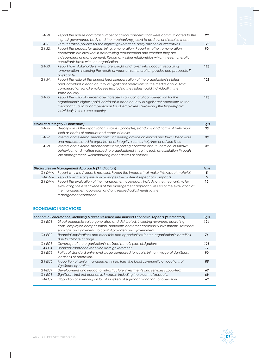| G4-50.                  | Report the nature and total number of critical concerns that were communicated to the<br>highest governance body and the mechanism(s) used to address and resolve them.                                                                                                                                                                                                 | 29        |
|-------------------------|-------------------------------------------------------------------------------------------------------------------------------------------------------------------------------------------------------------------------------------------------------------------------------------------------------------------------------------------------------------------------|-----------|
| $G4 - 51$ .<br>$G4-52.$ | Remuneration policies for the highest governance body and senior executives<br>Report the process for determining remuneration. Report whether remuneration<br>consultants are involved in determining remuneration and whether they are<br>independent of management. Report any other relationships which the remuneration<br>consultants have with the organisation. | 123<br>90 |
| $G4 - 53.$              | Report how stakeholders' views are sought and taken into account regarding<br>remuneration, including the results of votes on remuneration policies and proposals, if<br>applicable.                                                                                                                                                                                    | 123       |
| $G4 - 54.$              | Report the ratio of the annual total compensation of the organisation's highest-<br>paid individual in each country of significant operations to the medial annual total<br>compensation for all employees (excluding the highest-paid individual) in the<br>same country.                                                                                              | 123       |
| $G4 - 55$               | Report the ratio of percentage increase in annual total compensation for the<br>organisation's highest-paid individual in each country of significant operations to the<br>medial annual total compensation for all employees (excluding the highest-paid<br>individual) in the same country.                                                                           | 123       |
|                         |                                                                                                                                                                                                                                                                                                                                                                         |           |
|                         | Ethics and Integrity (3 indicators)                                                                                                                                                                                                                                                                                                                                     | Pg#       |
| G4-56.                  | Description of the organisation's values, principles, standards and norms of behaviour                                                                                                                                                                                                                                                                                  | 30        |

| .00-04   | Description of the organisation's values, principles, standards and norms of behaviour<br>such as codes of conduct and codes of ethics.                                                                                                  | 3U. |
|----------|------------------------------------------------------------------------------------------------------------------------------------------------------------------------------------------------------------------------------------------|-----|
| $G4-57.$ | Internal and external mechanisms for seeking advice on ethical and lawful behaviour,<br>and matters related to organisational integrity, such as helplines or advice lines.                                                              | 30  |
| $G4-58.$ | Internal and external mechanisms for reporting concerns about unethical or unlawful<br>behaviour, and matters related to organisational integrity, such as escalation through<br>line management, whistleblowing mechanisms or hotlines. | 30  |

| Disclosures on Management Approach (3 indicators) |        |                                                                                                                                                                                                                                                               | Pq# |
|---------------------------------------------------|--------|---------------------------------------------------------------------------------------------------------------------------------------------------------------------------------------------------------------------------------------------------------------|-----|
|                                                   | G4-DMA | Report why the Aspect is material. Report the impacts that make this Aspect material.                                                                                                                                                                         |     |
|                                                   | G4-DMA | Report how the organisation manages the material Aspect or its impacts.                                                                                                                                                                                       |     |
|                                                   | G4-DMA | Report the evaluation of the management approach, including the mechanisms for<br>evaluating the effectiveness of the management approach; results of the evaluation of<br>the management approach and any related adjustments to the<br>management approach. |     |

# **ECONOMIC INDICATORS**

|           | Economic Performance, including Market Presence and Indirect Economic Aspects (9 indicators)                                                                                                                                       | Pq# |
|-----------|------------------------------------------------------------------------------------------------------------------------------------------------------------------------------------------------------------------------------------|-----|
| $G4-ECI$  | Direct economic value generated and distributed, including revenues, operating<br>costs, employee compensation, donations and other community investments, retained<br>earnings, and payments to capital providers and governments | 124 |
| $G4-EC2$  | Financial implications and other risks and opportunities for the organisation's activities<br>due to climate change                                                                                                                | 74  |
| G4-EC3    | Coverage of the organisation's defined benefit plan obligations                                                                                                                                                                    | 125 |
| $G4-EC4$  | Financial assistance received from government                                                                                                                                                                                      | 17  |
| $G4-EC.5$ | Ratios of standard entry level wage compared to local minimum wage at significant<br>locations of operation.                                                                                                                       | 90  |
| G4-EC6    | Proportion of senior management hired form the local community at locations of<br>significant operation                                                                                                                            | 85  |
| G4-EC7    | Development and impact of infrastructure investments and services supported.                                                                                                                                                       | 67  |
| $G4-EC8$  | Significant indirect economic impacts, including the extent of impacts.                                                                                                                                                            | 69  |
| $G4-EC9$  | Proportion of spending on local suppliers at significant locations of operation.                                                                                                                                                   | 69  |

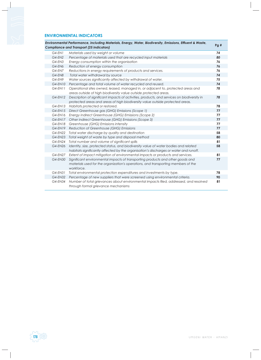#### **ENVIRONMENTAL INDICATORS**

|            | Environmental Performance, including Materials, Energy, Water, Biodiversity, Emissions, Effluent & Waste,<br><b>Compliance and Transport (25 indicators)</b>                      | Pg# |
|------------|-----------------------------------------------------------------------------------------------------------------------------------------------------------------------------------|-----|
| $G4$ -ENI  | Materials used by weight or volume                                                                                                                                                | 74  |
| $G4$ -EN2  | Percentage of materials used that are recycled input materials                                                                                                                    | 80  |
| $G4$ -EN3  | Energy consumption within the organisation                                                                                                                                        | 76  |
| G4-EN6     | Reduction of energy consumption                                                                                                                                                   | 76  |
| G4-EN7     | Reductions in energy requirements of products and services.                                                                                                                       | 76  |
| G4-EN8     | Total water withdrawal by source                                                                                                                                                  | 74  |
| G4-EN9     | Water sources significantly affected by withdrawal of water.                                                                                                                      | 75  |
| $G4$ -EN10 | Percentage and total volume of water recycled and reused.                                                                                                                         | 74  |
| $G4$ -EN11 | Operational sites owned, leased, managed in, or adjacent to, protected areas and<br>areas outside of high biodiversity value outside protected areas.                             | 78  |
| $G4$ -EN12 | Description of significant impacts of activities, products, and services on biodiversity in<br>protected areas and areas of high biodiversity value outside protected areas.      | 78  |
| $G4$ -EN13 | Habitats protected or restored.                                                                                                                                                   | 78  |
| $G4$ -EN15 | Direct Greenhouse gas (GHG) Emissions (Scope 1)                                                                                                                                   | 77  |
| G4-EN16    | Energy indirect Greenhouse (GHG) Emissions (Scope 2)                                                                                                                              | 77  |
| G4-EN17    | Other indirect Greenhouse (GHG) Emissions (Scope 3)                                                                                                                               | 77  |
| G4-EN18    | Greenhouse (GHG) Emissions intensity                                                                                                                                              | 77  |
| G4-EN19    | Reduction of Greenhouse (GHG) Emissions                                                                                                                                           | 77  |
| G4-EN22    | Total water discharge by quality and destination                                                                                                                                  | 58  |
|            | G4-EN23 Total weight of waste by type and disposal method                                                                                                                         | 80  |
| G4-EN24    | Total number and volume of significant spills                                                                                                                                     | 81  |
| G4-EN26    | Identity, size, protected status, and biodiversity value of water bodies and related<br>habitats significantly affected by the organisation's discharges or water and runoff.     | 58  |
| G4-EN27    | Extent of impact mitigation of environmental impacts or products and services.                                                                                                    | 81  |
| G4-EN30    | Significant environmental impacts of transporting products and other goods and<br>materials used for the organization's operations, and transporting members of the<br>workforce. | 77  |
| G4-EN31    | Total environmental protection expenditures and investments by type.                                                                                                              | 78  |
| G4-EN32    | Percentage of new suppliers that were screened using environmental criteria.                                                                                                      | 90  |
| G4-EN34    | Number of total grievances about environmental impacts filed, addressed, and resolved<br>through formal grievance mechanisms                                                      | 81  |

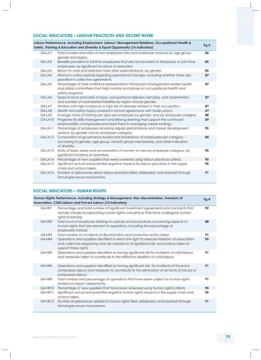### **SOCIAL INDICATORS – LABOUR PRACTICES AND DECENT WORK**

|           | Labour Performance, including Employment, Labour/ Management Relations, Occupational Health &<br>Safety, Training & Education and Diversity & Equal Opportunity (16 indicators)         | Pg# |
|-----------|-----------------------------------------------------------------------------------------------------------------------------------------------------------------------------------------|-----|
| $G4-LA1$  | Total number and rates of new employee hires and employee turnover by age group,<br>gender and region.                                                                                  | 86  |
| $G4-LA2$  | Benefits provided to full-time employees that are not provided to temporary or part-time<br>employees, by significant locations of operation.                                           | 85  |
| $G4-LA3$  | Return to work and retention rates after parental leave, by gender                                                                                                                      | 85  |
| $G4-LA4$  | Minimum notice periods regarding operational changes, including whether these are<br>specified in collective agreements                                                                 | 87  |
| $G4-LA5$  | Percentage of total workforce represented in formal joint management-worker health<br>and safety committees that help monitor and advise on occupational health and<br>safety programs. | 87  |
| G4-LA6    | Types of injury and rates of injury, occupational diseases, lost days, and absenteeism,<br>and number of work-related fatalities by region and by gender.                               | 87  |
| $G4-LA7$  | Workers with high incidence or high risk of diseases related to their occupation.                                                                                                       | 87  |
| $G4-LAB$  | Health and safety topics covered in formal agreements with trade unions.                                                                                                                | 87  |
| $G4-LA9$  | Average hours of training per year per employee by gender, and by employee category                                                                                                     | 88  |
| G4-LA10   | Programs for skills management and lifelong learning that support the continued<br>employability of employees and assist them in managing career endings.                               | 89  |
| $G4-LA11$ | Percentage of employees receiving regular performance and career development<br>reviews, by gender and by employee category.                                                            | 90  |
| $G4-LA12$ | Composition of governance bodies and breakdown of employees per category<br>according to gender, age group, minority group membership, and other indicators<br>of diversity.            | 84  |
| $G4-LA13$ | Ratio of basic salary and remuneration of women to men by employee category, by<br>significant locations of operation.                                                                  | 90  |
| $G4-LA14$ | Percentage of new suppliers that were screened using labour practices criteria.                                                                                                         | 90  |
| $G4-LA15$ | Significant actual and potential negative impacts for labour practices in the supply<br>chain and actions taken.                                                                        | 90  |
| $G4-LA16$ | Number of grievances about labour practices filed, addressed, and resolved through<br>formal grievance mechanisms.                                                                      | 91  |

# **SOCIAL INDICATORS – HUMAN RIGHTS**

|          | Human Rights Performance, including Strategy & Management, Non-discrimination, Freedom of<br>Association, Child Labour and Forced Labour (10 indicators)                                                     | Pg# |
|----------|--------------------------------------------------------------------------------------------------------------------------------------------------------------------------------------------------------------|-----|
| $G4-HRI$ | Percentage and total number of significant investment agreements and contracts that<br>include clauses incorporating human rights concerns or that have undergone human<br>rights screening                  | 90  |
| $G4-HR2$ | Total hours of employee training on policies and procedures concerning aspects of<br>human rights that are relevant to operations, including the percentage of<br>employees trained.                         | 88  |
| $G4-HR3$ | Total number on incidents of discrimination and corrective action taken                                                                                                                                      | 91  |
| $G4-HR4$ | Operations and suppliers identified in which the right to exercise freedom of association<br>and collective bargaining may be violated or at significant risk, and actions taken to<br>support these rights  | 90  |
| $G4-HR5$ | Operations and suppliers identified as having significant risk for incidents of child labour<br>and measures taken to contribute to the effective abolition of child labour                                  | 91  |
| G4-HR6   | Operations and suppliers identified as having significant risk, for incidents of forced or<br>compulsory labour and measures to contribute to the elimination of all forms of forced or<br>compulsory labour | 91  |
| G4-HR9   | Total number and percentage of operations that have been subject to human rights<br>reviews or impact assessments.                                                                                           | 91  |
| G4-HR10  | Percentage of new suppliers that have been screened using human rights criteria.                                                                                                                             | 90  |
| G4-HR11  | Significant actual and potential negative human rights impacts in the supply chain and<br>actions taken.                                                                                                     | 90  |
| G4-HR12  | Number of grievances related to human rights filed, addressed, and resolved through<br>formal grievance mechanisms.                                                                                          | 91  |

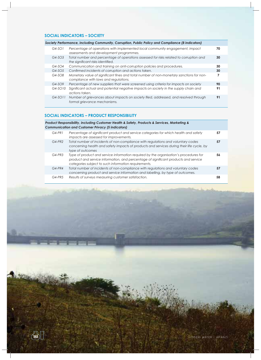## **SOCIAL INDICATORS – SOCIETY**

| Society Performance, including Community, Corruption, Public Policy and Compliance (8 indicators) |           |                                                                                                                                  |    |
|---------------------------------------------------------------------------------------------------|-----------|----------------------------------------------------------------------------------------------------------------------------------|----|
|                                                                                                   | $G4-SO1$  | Percentage of operations with implemented local community engagement, impact<br>assessments and development programmes.          | 70 |
|                                                                                                   | $G4-SO3$  | Total number and percentage of operations assessed for risks related to corruption and<br>the significant risks identified.      | 30 |
|                                                                                                   | $G4-SO4$  | Communication and training on anti-corruption policies and procedures.                                                           | 30 |
|                                                                                                   | $G4-SO5$  | Confirmed incidents of corruption and actions taken.                                                                             | 30 |
|                                                                                                   | $G4-SO8$  | Monetary value of significant fines and total number of non-monetary sanctions for non-<br>compliance with laws and regulations. |    |
|                                                                                                   | $G4-SO9$  | Percentage of new suppliers that were screened using criteria for impacts on society                                             | 90 |
|                                                                                                   | $G4-SO10$ | Significant actual and potential negative impacts on society in the supply chain and<br>actions taken.                           | 91 |
|                                                                                                   | $G4-SO11$ | Number of grievances about impacts on society filed, addressed, and resolved through<br>formal grievance mechanisms.             | 91 |

## **SOCIAL INDICATORS – PRODUCT RESPONSIBILITY**

| Product Responsibility, including Customer Health & Safety, Products & Services, Marketing &<br><b>Communication and Customer Privacy (5 indicators)</b> |                                                                                                                                                                                                                                      |    |  |  |
|----------------------------------------------------------------------------------------------------------------------------------------------------------|--------------------------------------------------------------------------------------------------------------------------------------------------------------------------------------------------------------------------------------|----|--|--|
| $G4-PR1$                                                                                                                                                 | Percentage of significant product and service categories for which health and safety<br>impacts are assessed for improvements.                                                                                                       | 57 |  |  |
| $G4-PR2$                                                                                                                                                 | Total number of incidents of non-compliance with regulations and voluntary codes<br>concerning health and safety impacts of products and services during their life cycle, by<br>type of outcomes                                    | 57 |  |  |
| $G4-PR3$                                                                                                                                                 | Type of product and service information required by the organisation's procedures for<br>product and service information, and percentage of significant products and service<br>categories subject to such information requirements. | 56 |  |  |
| $G4$ -PR4                                                                                                                                                | Total number of incidents of non-compliance with regulations and voluntary codes<br>concerning product and service information and labelling, by type of outcomes.                                                                   | 57 |  |  |
| $G4-PR5$                                                                                                                                                 | Results of surveys measuring customer satisfaction.                                                                                                                                                                                  | 58 |  |  |